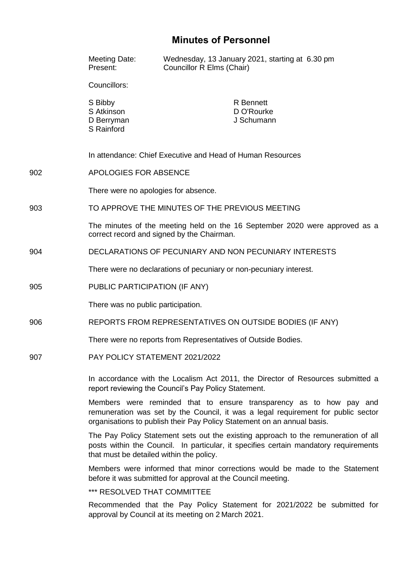# **Minutes of Personnel**

|     | Meeting Date:<br>Present:                                                                                                                                                                                                           | Wednesday, 13 January 2021, starting at 6.30 pm<br>Councillor R Elms (Chair) |
|-----|-------------------------------------------------------------------------------------------------------------------------------------------------------------------------------------------------------------------------------------|------------------------------------------------------------------------------|
|     | Councillors:                                                                                                                                                                                                                        |                                                                              |
|     | S Bibby<br>S Atkinson<br>D Berryman<br>S Rainford                                                                                                                                                                                   | <b>R</b> Bennett<br>D O'Rourke<br>J Schumann                                 |
|     |                                                                                                                                                                                                                                     | In attendance: Chief Executive and Head of Human Resources                   |
| 902 | APOLOGIES FOR ABSENCE                                                                                                                                                                                                               |                                                                              |
|     | There were no apologies for absence.                                                                                                                                                                                                |                                                                              |
| 903 | TO APPROVE THE MINUTES OF THE PREVIOUS MEETING                                                                                                                                                                                      |                                                                              |
|     | The minutes of the meeting held on the 16 September 2020 were approved as a<br>correct record and signed by the Chairman.                                                                                                           |                                                                              |
| 904 | DECLARATIONS OF PECUNIARY AND NON PECUNIARY INTERESTS                                                                                                                                                                               |                                                                              |
|     | There were no declarations of pecuniary or non-pecuniary interest.                                                                                                                                                                  |                                                                              |
| 905 | PUBLIC PARTICIPATION (IF ANY)                                                                                                                                                                                                       |                                                                              |
|     | There was no public participation.                                                                                                                                                                                                  |                                                                              |
| 906 | REPORTS FROM REPRESENTATIVES ON OUTSIDE BODIES (IF ANY)                                                                                                                                                                             |                                                                              |
|     | There were no reports from Representatives of Outside Bodies.                                                                                                                                                                       |                                                                              |
| 907 |                                                                                                                                                                                                                                     | PAY POLICY STATEMENT 2021/2022                                               |
|     | In accordance with the Localism Act 2011, the Director of Resources submitted a<br>report reviewing the Council's Pay Policy Statement.                                                                                             |                                                                              |
|     | Members were reminded that to ensure transparency as to how pay and<br>remuneration was set by the Council, it was a legal requirement for public sector<br>organisations to publish their Pay Policy Statement on an annual basis. |                                                                              |
|     | The Pay Policy Statement sets out the existing approach to the remuneration of all<br>posts within the Council. In particular, it specifies certain mandatory requirements<br>that must be detailed within the policy.              |                                                                              |
|     | Members were informed that minor corrections would be made to the Statement<br>before it was submitted for approval at the Council meeting.                                                                                         |                                                                              |

\*\*\* RESOLVED THAT COMMITTEE

Recommended that the Pay Policy Statement for 2021/2022 be submitted for approval by Council at its meeting on 2 March 2021.